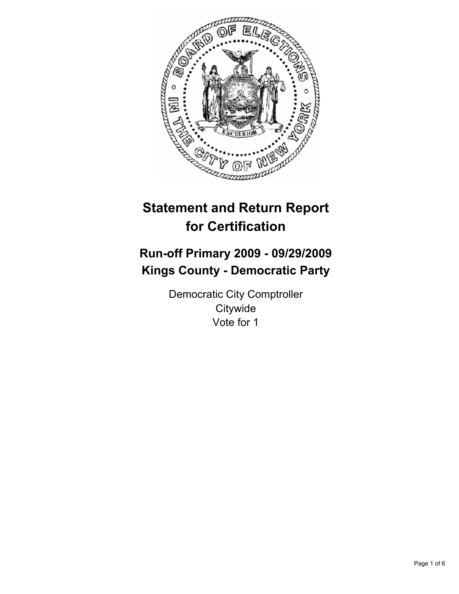

# **Statement and Return Report for Certification**

# **Run-off Primary 2009 - 09/29/2009 Kings County - Democratic Party**

Democratic City Comptroller **Citywide** Vote for 1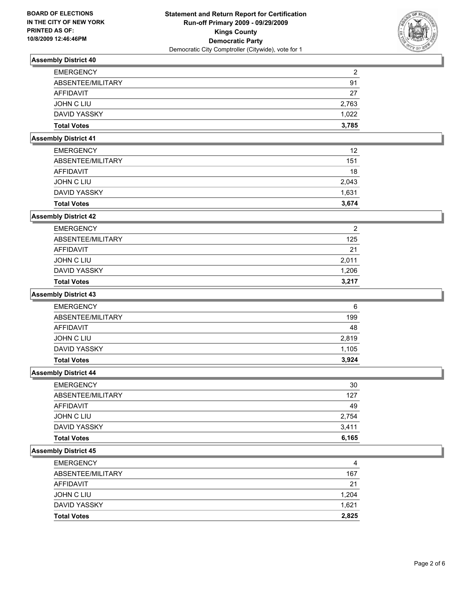

| <b>EMERGENCY</b>   | 2     |
|--------------------|-------|
| ABSENTEE/MILITARY  | 91    |
| AFFIDAVIT          | 27    |
| JOHN C LIU         | 2.763 |
| DAVID YASSKY       | 1.022 |
| <b>Total Votes</b> | 3.785 |

## **Assembly District 41**

| <b>Total Votes</b> | 3.674 |
|--------------------|-------|
| DAVID YASSKY       | 1,631 |
| JOHN C LIU         | 2,043 |
| AFFIDAVIT          | 18    |
| ABSENTEE/MILITARY  | 151   |
| <b>EMERGENCY</b>   | 12    |

## **Assembly District 42**

| <b>Total Votes</b> | 3.217 |
|--------------------|-------|
| DAVID YASSKY       | 1.206 |
| JOHN C LIU         | 2,011 |
| AFFIDAVIT          | 21    |
| ABSENTEE/MILITARY  | 125   |
| <b>EMERGENCY</b>   | 2     |

#### **Assembly District 43**

| <b>EMERGENCY</b>   | 6     |
|--------------------|-------|
| ABSENTEE/MILITARY  | 199   |
| AFFIDAVIT          | 48    |
| JOHN C LIU         | 2,819 |
| DAVID YASSKY       | 1,105 |
| <b>Total Votes</b> | 3.924 |

#### **Assembly District 44**

| <b>EMERGENCY</b>   | 30    |
|--------------------|-------|
| ABSENTEE/MILITARY  | 127   |
| <b>AFFIDAVIT</b>   | 49    |
| JOHN C LIU         | 2.754 |
| DAVID YASSKY       | 3.411 |
| <b>Total Votes</b> | 6,165 |

| <b>Total Votes</b> | 2,825 |
|--------------------|-------|
| DAVID YASSKY       | 1,621 |
| JOHN C LIU         | 1,204 |
| <b>AFFIDAVIT</b>   | 21    |
| ABSENTEE/MILITARY  | 167   |
| <b>EMERGENCY</b>   | 4     |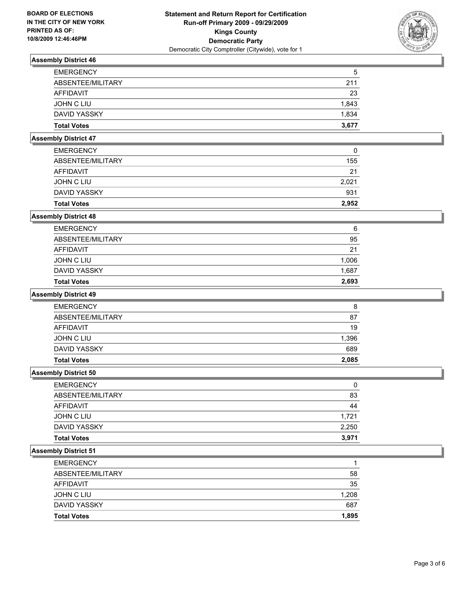

| <b>EMERGENCY</b>   | 5     |
|--------------------|-------|
| ABSENTEE/MILITARY  | 211   |
| AFFIDAVIT          | 23    |
| JOHN C LIU         | 1,843 |
| DAVID YASSKY       | 1,834 |
| <b>Total Votes</b> | 3,677 |

## **Assembly District 47**

| <b>Total Votes</b> | 2.952 |
|--------------------|-------|
| DAVID YASSKY       | 931   |
| JOHN C LIU         | 2.021 |
| AFFIDAVIT          | 21    |
| ABSENTEE/MILITARY  | 155   |
| <b>EMERGENCY</b>   | 0     |

## **Assembly District 48**

| <b>Total Votes</b> | 2,693 |
|--------------------|-------|
| DAVID YASSKY       | 1,687 |
| JOHN C LIU         | 1,006 |
| AFFIDAVIT          | 21    |
| ABSENTEE/MILITARY  | 95    |
| <b>EMERGENCY</b>   | 6     |

#### **Assembly District 49**

| <b>EMERGENCY</b>   | 8     |
|--------------------|-------|
| ABSENTEE/MILITARY  | 87    |
| AFFIDAVIT          | 19    |
| JOHN C LIU         | 1,396 |
| DAVID YASSKY       | 689   |
| <b>Total Votes</b> | 2.085 |

#### **Assembly District 50**

| <b>EMERGENCY</b>   | 0     |
|--------------------|-------|
| ABSENTEE/MILITARY  | 83    |
| <b>AFFIDAVIT</b>   | 44    |
| JOHN C LIU         | 1.721 |
| DAVID YASSKY       | 2,250 |
| <b>Total Votes</b> | 3,971 |

| <b>Total Votes</b> | 1.895 |
|--------------------|-------|
| DAVID YASSKY       | 687   |
| JOHN C LIU         | 1,208 |
| <b>AFFIDAVIT</b>   | 35    |
| ABSENTEE/MILITARY  | 58    |
| <b>EMERGENCY</b>   |       |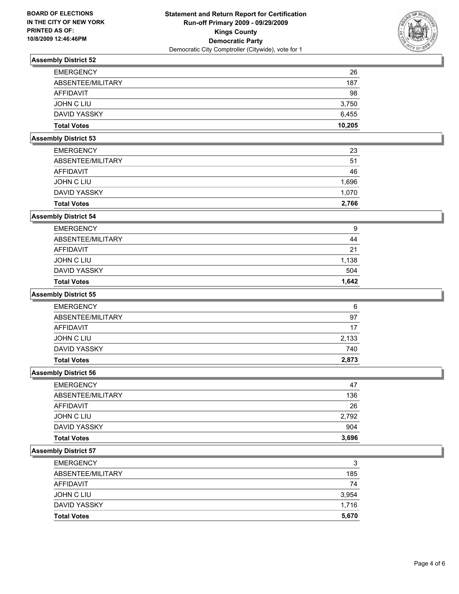

| <b>Total Votes</b> | 10,205 |
|--------------------|--------|
| DAVID YASSKY       | 6,455  |
| JOHN C LIU         | 3,750  |
| AFFIDAVIT          | 98     |
| ABSENTEE/MILITARY  | 187    |
| <b>EMERGENCY</b>   | 26     |

## **Assembly District 53**

| <b>Total Votes</b> | 2.766 |
|--------------------|-------|
| DAVID YASSKY       | 1,070 |
| JOHN C LIU         | 1,696 |
| AFFIDAVIT          | 46    |
| ABSENTEE/MILITARY  | 51    |
| <b>EMERGENCY</b>   | 23    |

## **Assembly District 54**

| <b>EMERGENCY</b><br>ABSENTEE/MILITARY<br>AFFIDAVIT<br>JOHN C LIU<br>DAVID YASSKY | <b>Total Votes</b> | 1.642 |
|----------------------------------------------------------------------------------|--------------------|-------|
|                                                                                  |                    | 504   |
|                                                                                  |                    | 1,138 |
|                                                                                  |                    | 21    |
|                                                                                  |                    | 44    |
|                                                                                  |                    | 9     |

#### **Assembly District 55**

| <b>Total Votes</b> | 2.873 |
|--------------------|-------|
| DAVID YASSKY       | 740   |
| JOHN C LIU         | 2,133 |
| AFFIDAVIT          | 17    |
| ABSENTEE/MILITARY  | 97    |
| <b>EMERGENCY</b>   | 6     |

#### **Assembly District 56**

| <b>EMERGENCY</b>   | 47    |
|--------------------|-------|
| ABSENTEE/MILITARY  | 136   |
| AFFIDAVIT          | 26    |
| JOHN C LIU         | 2,792 |
| DAVID YASSKY       | 904   |
| <b>Total Votes</b> | 3,696 |

| <b>Total Votes</b> | 5.670 |
|--------------------|-------|
| DAVID YASSKY       | 1.716 |
| JOHN C LIU         | 3,954 |
| AFFIDAVIT          | 74    |
| ABSENTEE/MILITARY  | 185   |
| <b>EMERGENCY</b>   | 3     |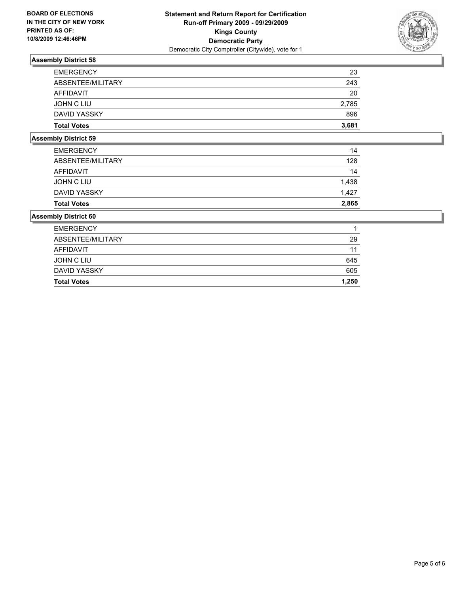

| <b>Total Votes</b> | 3,681 |
|--------------------|-------|
| DAVID YASSKY       | 896   |
| JOHN C LIU         | 2,785 |
| AFFIDAVIT          | 20    |
| ABSENTEE/MILITARY  | 243   |
| <b>EMERGENCY</b>   | 23    |

## **Assembly District 59**

| <b>Total Votes</b> | 2,865 |
|--------------------|-------|
| DAVID YASSKY       | 1.427 |
| JOHN C LIU         | 1.438 |
| AFFIDAVIT          | 14    |
| ABSENTEE/MILITARY  | 128   |
| <b>EMERGENCY</b>   | 14    |

| <b>Total Votes</b> | 1.250 |
|--------------------|-------|
| DAVID YASSKY       | 605   |
| JOHN C LIU         | 645   |
| AFFIDAVIT          | 11    |
| ABSENTEE/MILITARY  | 29    |
| <b>EMERGENCY</b>   |       |